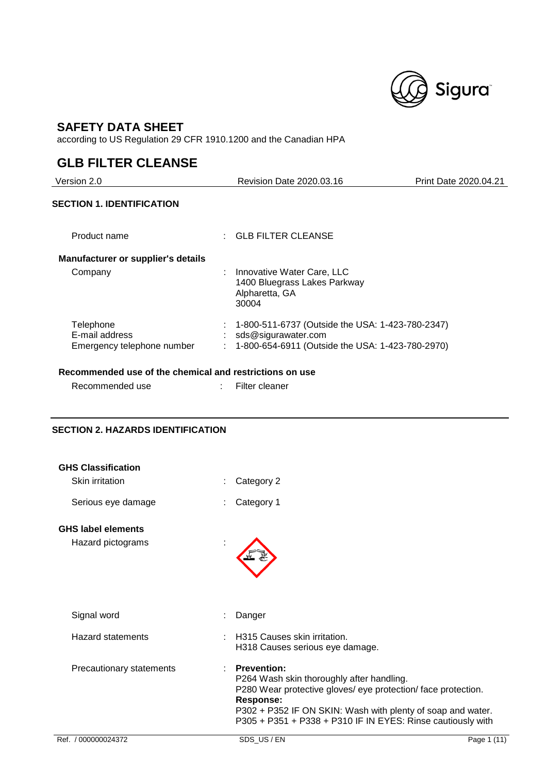

## **SAFETY DATA SHEET**

according to US Regulation 29 CFR 1910.1200 and the Canadian HPA

## **GLB FILTER CLEANSE**

i.

| Revision Date 2020.03.16                                                                                                    | Print Date 2020.04.21 |
|-----------------------------------------------------------------------------------------------------------------------------|-----------------------|
|                                                                                                                             |                       |
| $\pm$ GLB FILTER CLEANSE                                                                                                    |                       |
|                                                                                                                             |                       |
| Innovative Water Care, LLC<br>1400 Bluegrass Lakes Parkway<br>Alpharetta, GA<br>30004                                       |                       |
| 1-800-511-6737 (Outside the USA: 1-423-780-2347)<br>sds@sigurawater.com<br>1-800-654-6911 (Outside the USA: 1-423-780-2970) |                       |
|                                                                                                                             |                       |

### **Recommended use of the chemical and restrictions on use**

| Recommended use | : Filter cleaner |
|-----------------|------------------|
|                 |                  |

## **SECTION 2. HAZARDS IDENTIFICATION**

| Ref. / 000000024372                            | SDS US/EN                                                                                                                                                                                                                                                                          | Page 1 (11) |
|------------------------------------------------|------------------------------------------------------------------------------------------------------------------------------------------------------------------------------------------------------------------------------------------------------------------------------------|-------------|
| Precautionary statements                       | <b>Prevention:</b><br>P264 Wash skin thoroughly after handling.<br>P280 Wear protective gloves/ eye protection/ face protection.<br><b>Response:</b><br>P302 + P352 IF ON SKIN: Wash with plenty of soap and water.<br>P305 + P351 + P338 + P310 IF IN EYES: Rinse cautiously with |             |
| <b>Hazard statements</b>                       | H315 Causes skin irritation.<br>H318 Causes serious eye damage.                                                                                                                                                                                                                    |             |
| Signal word                                    | Danger                                                                                                                                                                                                                                                                             |             |
| <b>GHS label elements</b><br>Hazard pictograms |                                                                                                                                                                                                                                                                                    |             |
| Serious eye damage                             | Category 1                                                                                                                                                                                                                                                                         |             |
| <b>GHS Classification</b><br>Skin irritation   | Category 2                                                                                                                                                                                                                                                                         |             |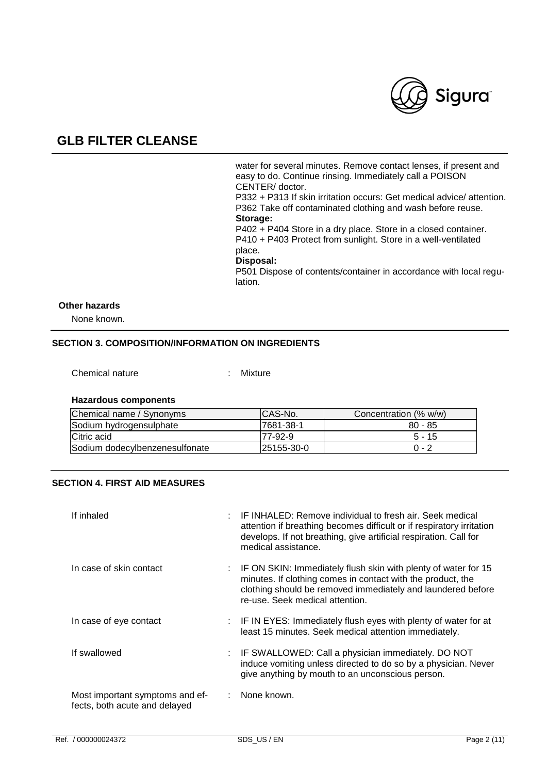

water for several minutes. Remove contact lenses, if present and easy to do. Continue rinsing. Immediately call a POISON CENTER/ doctor. P332 + P313 If skin irritation occurs: Get medical advice/ attention. P362 Take off contaminated clothing and wash before reuse.

**Storage:** 

P402 + P404 Store in a dry place. Store in a closed container. P410 + P403 Protect from sunlight. Store in a well-ventilated place.

#### **Disposal:**

P501 Dispose of contents/container in accordance with local regulation.

### **Other hazards**

None known.

### **SECTION 3. COMPOSITION/INFORMATION ON INGREDIENTS**

Chemical nature : Mixture

### **Hazardous components**

| Chemical name / Synonyms       | ICAS-No.          | Concentration (% w/w) |
|--------------------------------|-------------------|-----------------------|
| Sodium hydrogensulphate        | 17681-38-1        | $80 - 85$             |
| Citric acid                    | 77-92-9           | $5 - 15$              |
| Sodium dodecylbenzenesulfonate | <b>25155-30-0</b> | $0 - 2$               |

### **SECTION 4. FIRST AID MEASURES**

| If inhaled                                                       | IF INHALED: Remove individual to fresh air. Seek medical<br>attention if breathing becomes difficult or if respiratory irritation<br>develops. If not breathing, give artificial respiration. Call for<br>medical assistance.   |
|------------------------------------------------------------------|---------------------------------------------------------------------------------------------------------------------------------------------------------------------------------------------------------------------------------|
| In case of skin contact                                          | IF ON SKIN: Immediately flush skin with plenty of water for 15<br>minutes. If clothing comes in contact with the product, the<br>clothing should be removed immediately and laundered before<br>re-use. Seek medical attention. |
| In case of eye contact                                           | : IF IN EYES: Immediately flush eyes with plenty of water for at<br>least 15 minutes. Seek medical attention immediately.                                                                                                       |
| If swallowed                                                     | : IF SWALLOWED: Call a physician immediately. DO NOT<br>induce vomiting unless directed to do so by a physician. Never<br>give anything by mouth to an unconscious person.                                                      |
| Most important symptoms and ef-<br>fects, both acute and delayed | None known.                                                                                                                                                                                                                     |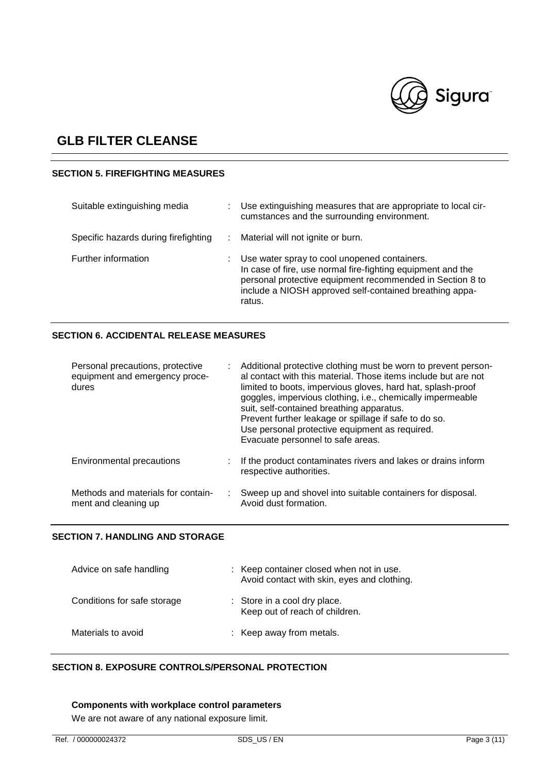

### **SECTION 5. FIREFIGHTING MEASURES**

| Suitable extinguishing media         |   | Use extinguishing measures that are appropriate to local cir-<br>cumstances and the surrounding environment.                                                                                                                                  |
|--------------------------------------|---|-----------------------------------------------------------------------------------------------------------------------------------------------------------------------------------------------------------------------------------------------|
| Specific hazards during firefighting | ÷ | Material will not ignite or burn.                                                                                                                                                                                                             |
| Further information                  |   | Use water spray to cool unopened containers.<br>In case of fire, use normal fire-fighting equipment and the<br>personal protective equipment recommended in Section 8 to<br>include a NIOSH approved self-contained breathing appa-<br>ratus. |

### **SECTION 6. ACCIDENTAL RELEASE MEASURES**

| Personal precautions, protective<br>equipment and emergency proce-<br>dures | Additional protective clothing must be worn to prevent person-<br>al contact with this material. Those items include but are not<br>limited to boots, impervious gloves, hard hat, splash-proof<br>goggles, impervious clothing, i.e., chemically impermeable<br>suit, self-contained breathing apparatus.<br>Prevent further leakage or spillage if safe to do so.<br>Use personal protective equipment as required.<br>Evacuate personnel to safe areas. |
|-----------------------------------------------------------------------------|------------------------------------------------------------------------------------------------------------------------------------------------------------------------------------------------------------------------------------------------------------------------------------------------------------------------------------------------------------------------------------------------------------------------------------------------------------|
| Environmental precautions                                                   | If the product contaminates rivers and lakes or drains inform<br>respective authorities.                                                                                                                                                                                                                                                                                                                                                                   |
| Methods and materials for contain-<br>ment and cleaning up                  | Sweep up and shovel into suitable containers for disposal.<br>Avoid dust formation.                                                                                                                                                                                                                                                                                                                                                                        |

### **SECTION 7. HANDLING AND STORAGE**

| Advice on safe handling     | : Keep container closed when not in use.<br>Avoid contact with skin, eyes and clothing. |  |
|-----------------------------|-----------------------------------------------------------------------------------------|--|
| Conditions for safe storage | : Store in a cool dry place.<br>Keep out of reach of children.                          |  |
| Materials to avoid          | : Keep away from metals.                                                                |  |

### **SECTION 8. EXPOSURE CONTROLS/PERSONAL PROTECTION**

## **Components with workplace control parameters**

We are not aware of any national exposure limit.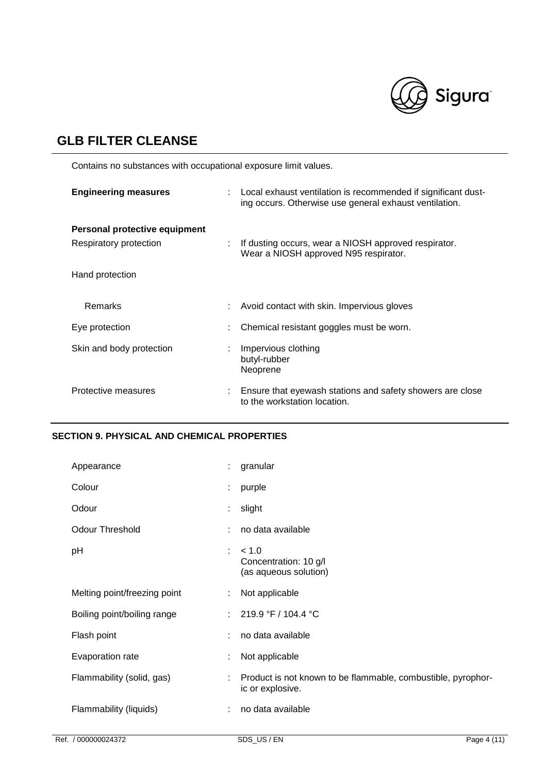

Contains no substances with occupational exposure limit values.

| <b>Engineering measures</b>                             | Local exhaust ventilation is recommended if significant dust-<br>ing occurs. Otherwise use general exhaust ventilation. |
|---------------------------------------------------------|-------------------------------------------------------------------------------------------------------------------------|
| Personal protective equipment<br>Respiratory protection | If dusting occurs, wear a NIOSH approved respirator.<br>Wear a NIOSH approved N95 respirator.                           |
| Hand protection                                         |                                                                                                                         |
| <b>Remarks</b>                                          | Avoid contact with skin. Impervious gloves                                                                              |
| Eye protection                                          | Chemical resistant goggles must be worn.                                                                                |
| Skin and body protection                                | Impervious clothing<br>butyl-rubber<br>Neoprene                                                                         |
| Protective measures                                     | Ensure that eyewash stations and safety showers are close<br>to the workstation location.                               |

### **SECTION 9. PHYSICAL AND CHEMICAL PROPERTIES**

| Appearance                   | ÷. | granular                                                                         |
|------------------------------|----|----------------------------------------------------------------------------------|
| Colour                       | ÷  | purple                                                                           |
| Odour                        | ÷. | slight                                                                           |
| <b>Odour Threshold</b>       |    | no data available                                                                |
| pH                           | ÷  | < 1.0<br>Concentration: 10 g/l<br>(as aqueous solution)                          |
| Melting point/freezing point |    | Not applicable                                                                   |
| Boiling point/boiling range  |    | 219.9 °F / 104.4 °C                                                              |
| Flash point                  |    | no data available                                                                |
| Evaporation rate             |    | Not applicable                                                                   |
| Flammability (solid, gas)    |    | Product is not known to be flammable, combustible, pyrophor-<br>ic or explosive. |
| Flammability (liquids)       | ÷  | no data available                                                                |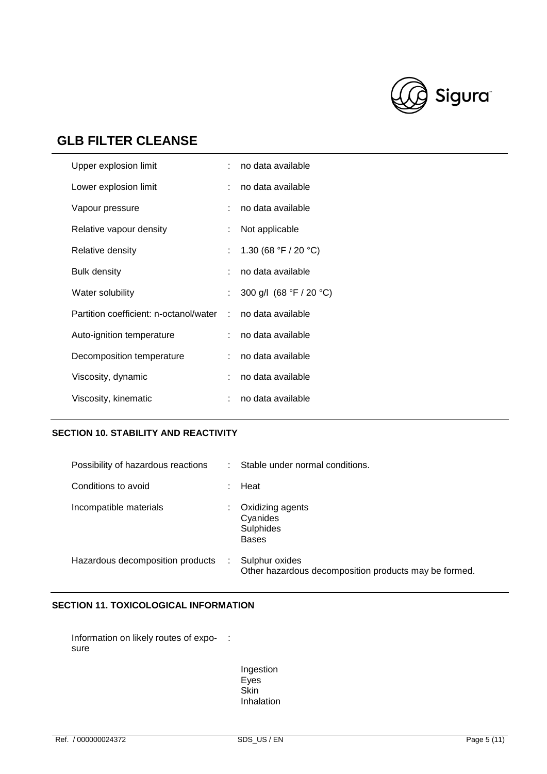

| Upper explosion limit                  | ÷. | no data available       |
|----------------------------------------|----|-------------------------|
| Lower explosion limit                  | ÷. | no data available       |
| Vapour pressure                        |    | no data available       |
| Relative vapour density                |    | Not applicable          |
| Relative density                       |    | 1.30 (68 °F / 20 °C)    |
| <b>Bulk density</b>                    |    | no data available       |
| Water solubility                       |    | 300 g/l (68 °F / 20 °C) |
| Partition coefficient: n-octanol/water | ÷  | no data available       |
| Auto-ignition temperature              |    | no data available       |
| Decomposition temperature              | ÷. | no data available       |
| Viscosity, dynamic                     |    | no data available       |
| Viscosity, kinematic                   |    | no data available       |
|                                        |    |                         |

### **SECTION 10. STABILITY AND REACTIVITY**

| Possibility of hazardous reactions | Stable under normal conditions.                                         |
|------------------------------------|-------------------------------------------------------------------------|
| Conditions to avoid                | Heat                                                                    |
| Incompatible materials             | Oxidizing agents<br>Cyanides<br>Sulphides<br><b>Bases</b>               |
| Hazardous decomposition products   | Sulphur oxides<br>Other hazardous decomposition products may be formed. |

### **SECTION 11. TOXICOLOGICAL INFORMATION**

Information on likely routes of expo- : sure

> Ingestion Eyes Skin Inhalation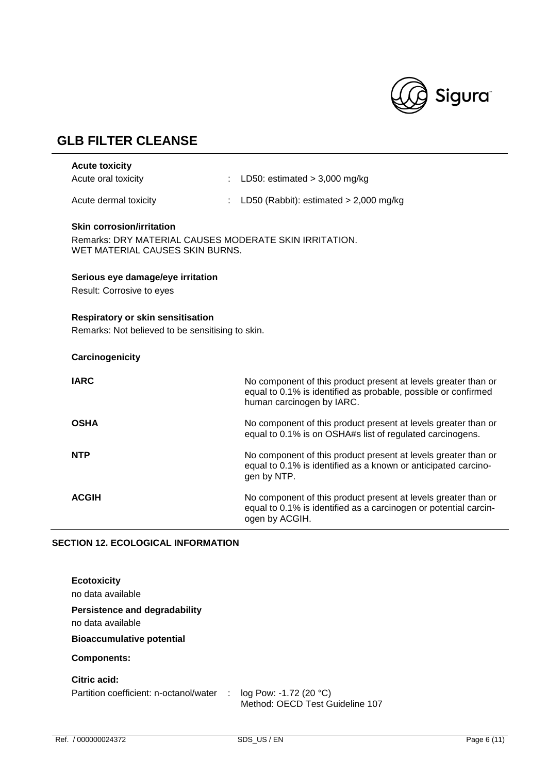

| <b>Acute toxicity</b>                                                                                                         |                                                                                                                                                               |
|-------------------------------------------------------------------------------------------------------------------------------|---------------------------------------------------------------------------------------------------------------------------------------------------------------|
| Acute oral toxicity                                                                                                           | LD50: estimated $>$ 3,000 mg/kg                                                                                                                               |
| Acute dermal toxicity                                                                                                         | LD50 (Rabbit): estimated $> 2,000$ mg/kg                                                                                                                      |
| <b>Skin corrosion/irritation</b><br>Remarks: DRY MATERIAL CAUSES MODERATE SKIN IRRITATION.<br>WET MATERIAL CAUSES SKIN BURNS. |                                                                                                                                                               |
| Serious eye damage/eye irritation                                                                                             |                                                                                                                                                               |
| Result: Corrosive to eyes                                                                                                     |                                                                                                                                                               |
| <b>Respiratory or skin sensitisation</b><br>Remarks: Not believed to be sensitising to skin.                                  |                                                                                                                                                               |
| Carcinogenicity                                                                                                               |                                                                                                                                                               |
| <b>IARC</b>                                                                                                                   | No component of this product present at levels greater than or<br>equal to 0.1% is identified as probable, possible or confirmed<br>human carcinogen by IARC. |
| <b>OSHA</b>                                                                                                                   | No component of this product present at levels greater than or<br>equal to 0.1% is on OSHA#s list of regulated carcinogens.                                   |
| <b>NTP</b>                                                                                                                    | No component of this product present at levels greater than or<br>equal to 0.1% is identified as a known or anticipated carcino-<br>gen by NTP.               |
| <b>ACGIH</b>                                                                                                                  | No component of this product present at levels greater than or<br>equal to 0.1% is identified as a carcinogen or potential carcin-<br>ogen by ACGIH.          |

### **SECTION 12. ECOLOGICAL INFORMATION**

| <b>Ecotoxicity</b><br>no data available                |                                                                          |  |
|--------------------------------------------------------|--------------------------------------------------------------------------|--|
| Persistence and degradability<br>no data available     |                                                                          |  |
| <b>Bioaccumulative potential</b>                       |                                                                          |  |
| <b>Components:</b>                                     |                                                                          |  |
| Citric acid:<br>Partition coefficient: n-octanol/water | log Pow: -1.72 (20 °C)<br>$\sim 10^6$<br>Method: OECD Test Guideline 107 |  |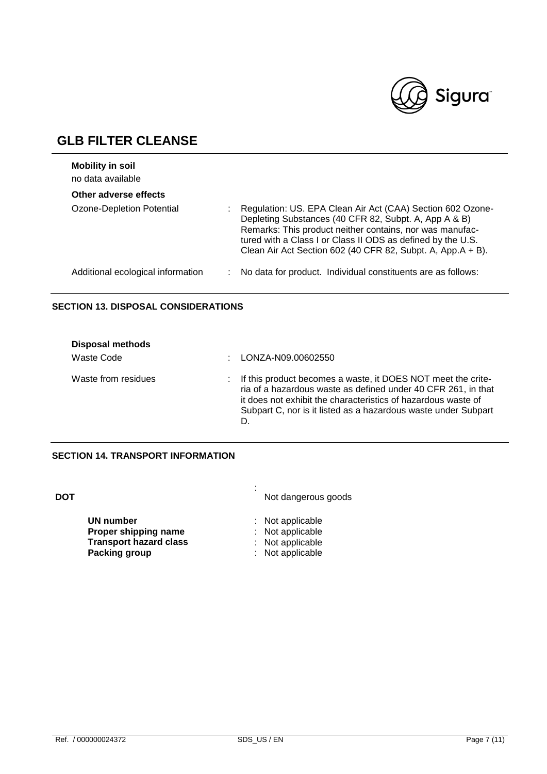

| <b>Mobility in soil</b><br>no data available |                                                                                                                                                                                                                                                                                                               |
|----------------------------------------------|---------------------------------------------------------------------------------------------------------------------------------------------------------------------------------------------------------------------------------------------------------------------------------------------------------------|
| Other adverse effects                        |                                                                                                                                                                                                                                                                                                               |
| Ozone-Depletion Potential                    | Regulation: US. EPA Clean Air Act (CAA) Section 602 Ozone-<br>Depleting Substances (40 CFR 82, Subpt. A, App A & B)<br>Remarks: This product neither contains, nor was manufac-<br>tured with a Class I or Class II ODS as defined by the U.S.<br>Clean Air Act Section 602 (40 CFR 82, Subpt. A, App.A + B). |
| Additional ecological information            | No data for product. Individual constituents are as follows:                                                                                                                                                                                                                                                  |

### **SECTION 13. DISPOSAL CONSIDERATIONS**

| <b>Disposal methods</b> |                                                                                                                                                                                                                                                                          |
|-------------------------|--------------------------------------------------------------------------------------------------------------------------------------------------------------------------------------------------------------------------------------------------------------------------|
| Waste Code              | LONZA-N09.00602550                                                                                                                                                                                                                                                       |
| Waste from residues     | : If this product becomes a waste, it DOES NOT meet the crite-<br>ria of a hazardous waste as defined under 40 CFR 261, in that<br>it does not exhibit the characteristics of hazardous waste of<br>Subpart C, nor is it listed as a hazardous waste under Subpart<br>D. |

### **SECTION 14. TRANSPORT INFORMATION**

| DOT |                                                                                     | ٠<br>٠ | Not dangerous goods                                                          |
|-----|-------------------------------------------------------------------------------------|--------|------------------------------------------------------------------------------|
|     | UN number<br>Proper shipping name<br><b>Transport hazard class</b><br>Packing group |        | : Not applicable<br>: Not applicable<br>: Not applicable<br>: Not applicable |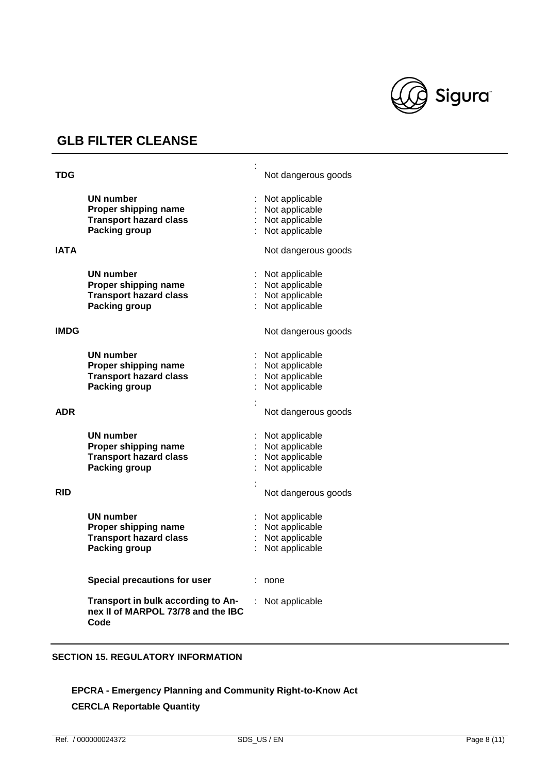

| <b>TDG</b> |                                                                                            | Not dangerous goods                                                  |
|------------|--------------------------------------------------------------------------------------------|----------------------------------------------------------------------|
|            | UN number<br>Proper shipping name<br><b>Transport hazard class</b><br><b>Packing group</b> | Not applicable<br>Not applicable<br>Not applicable<br>Not applicable |
| IATA       |                                                                                            | Not dangerous goods                                                  |
|            | UN number<br>Proper shipping name<br><b>Transport hazard class</b><br><b>Packing group</b> | Not applicable<br>Not applicable<br>Not applicable<br>Not applicable |
| IMDG       |                                                                                            | Not dangerous goods                                                  |
|            | UN number<br>Proper shipping name<br><b>Transport hazard class</b><br><b>Packing group</b> | Not applicable<br>Not applicable<br>Not applicable<br>Not applicable |
| <b>ADR</b> |                                                                                            | Not dangerous goods                                                  |
|            | <b>UN number</b><br>Proper shipping name<br><b>Transport hazard class</b><br>Packing group | Not applicable<br>Not applicable<br>Not applicable<br>Not applicable |
| <b>RID</b> |                                                                                            | Not dangerous goods                                                  |
|            | UN number<br>Proper shipping name<br><b>Transport hazard class</b><br><b>Packing group</b> | Not applicable<br>Not applicable<br>Not applicable<br>Not applicable |
|            | Special precautions for user                                                               | none                                                                 |
|            | Transport in bulk according to An-<br>nex II of MARPOL 73/78 and the IBC<br>Code           | Not applicable                                                       |

### **SECTION 15. REGULATORY INFORMATION**

## **EPCRA - Emergency Planning and Community Right-to-Know Act**

## **CERCLA Reportable Quantity**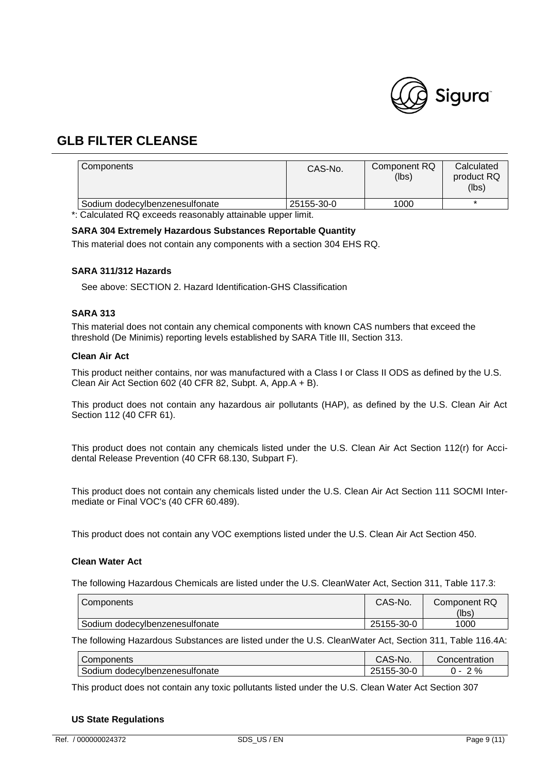

| Components                     | CAS-No.    | Component RQ<br>(lbs) | Calculated<br>product RQ<br>(lbs) |
|--------------------------------|------------|-----------------------|-----------------------------------|
| Sodium dodecylbenzenesulfonate | 25155-30-0 | 1000                  |                                   |

\*: Calculated RQ exceeds reasonably attainable upper limit.

### **SARA 304 Extremely Hazardous Substances Reportable Quantity**

This material does not contain any components with a section 304 EHS RQ.

### **SARA 311/312 Hazards**

See above: SECTION 2. Hazard Identification-GHS Classification

### **SARA 313**

This material does not contain any chemical components with known CAS numbers that exceed the threshold (De Minimis) reporting levels established by SARA Title III, Section 313.

### **Clean Air Act**

This product neither contains, nor was manufactured with a Class I or Class II ODS as defined by the U.S. Clean Air Act Section 602 (40 CFR 82, Subpt. A, App.A + B).

This product does not contain any hazardous air pollutants (HAP), as defined by the U.S. Clean Air Act Section 112 (40 CFR 61).

This product does not contain any chemicals listed under the U.S. Clean Air Act Section 112(r) for Accidental Release Prevention (40 CFR 68.130, Subpart F).

This product does not contain any chemicals listed under the U.S. Clean Air Act Section 111 SOCMI Intermediate or Final VOC's (40 CFR 60.489).

This product does not contain any VOC exemptions listed under the U.S. Clean Air Act Section 450.

### **Clean Water Act**

The following Hazardous Chemicals are listed under the U.S. CleanWater Act, Section 311, Table 117.3:

| Components                     | CAS-No.    | Component RQ<br>(lbs) |
|--------------------------------|------------|-----------------------|
| Sodium dodecylbenzenesulfonate | 25155-30-0 | 1000                  |

The following Hazardous Substances are listed under the U.S. CleanWater Act, Section 311, Table 116.4A:

| Components                        | CAS-No.                            | Concentration |
|-----------------------------------|------------------------------------|---------------|
| Sodium<br>dodecylbenzenesultonate | $- -$<br>ົດ<br>つに<br>155-30-0<br>ے | 2%            |

This product does not contain any toxic pollutants listed under the U.S. Clean Water Act Section 307

### **US State Regulations**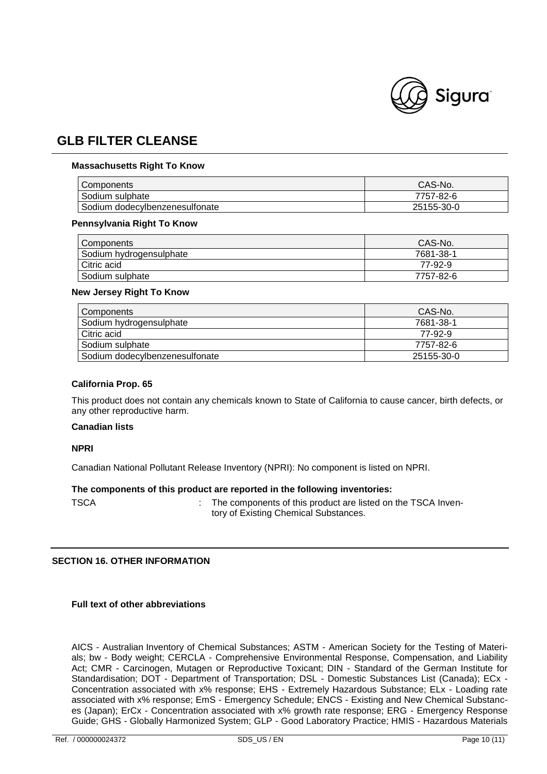

### **Massachusetts Right To Know**

| <b>Components</b>              | CAS-No.    |
|--------------------------------|------------|
| Sodium sulphate                | 7757-82-6  |
| Sodium dodecylbenzenesulfonate | 25155-30-0 |

#### **Pennsylvania Right To Know**

| Components              | CAS-No.   |
|-------------------------|-----------|
| Sodium hydrogensulphate | 7681-38-1 |
| Citric acid             | 77-92-9   |
| Sodium sulphate         | 7757-82-6 |

#### **New Jersey Right To Know**

| Components                     | CAS-No.    |
|--------------------------------|------------|
| Sodium hydrogensulphate        | 7681-38-1  |
| Citric acid                    | 77-92-9    |
| Sodium sulphate                | 7757-82-6  |
| Sodium dodecylbenzenesulfonate | 25155-30-0 |

#### **California Prop. 65**

This product does not contain any chemicals known to State of California to cause cancer, birth defects, or any other reproductive harm.

### **Canadian lists**

#### **NPRI**

Canadian National Pollutant Release Inventory (NPRI): No component is listed on NPRI.

### **The components of this product are reported in the following inventories:**

TSCA **:** The components of this product are listed on the TSCA Inventory of Existing Chemical Substances.

### **SECTION 16. OTHER INFORMATION**

### **Full text of other abbreviations**

AICS - Australian Inventory of Chemical Substances; ASTM - American Society for the Testing of Materials; bw - Body weight; CERCLA - Comprehensive Environmental Response, Compensation, and Liability Act; CMR - Carcinogen, Mutagen or Reproductive Toxicant; DIN - Standard of the German Institute for Standardisation; DOT - Department of Transportation; DSL - Domestic Substances List (Canada); ECx - Concentration associated with x% response; EHS - Extremely Hazardous Substance; ELx - Loading rate associated with x% response; EmS - Emergency Schedule; ENCS - Existing and New Chemical Substances (Japan); ErCx - Concentration associated with x% growth rate response; ERG - Emergency Response Guide; GHS - Globally Harmonized System; GLP - Good Laboratory Practice; HMIS - Hazardous Materials